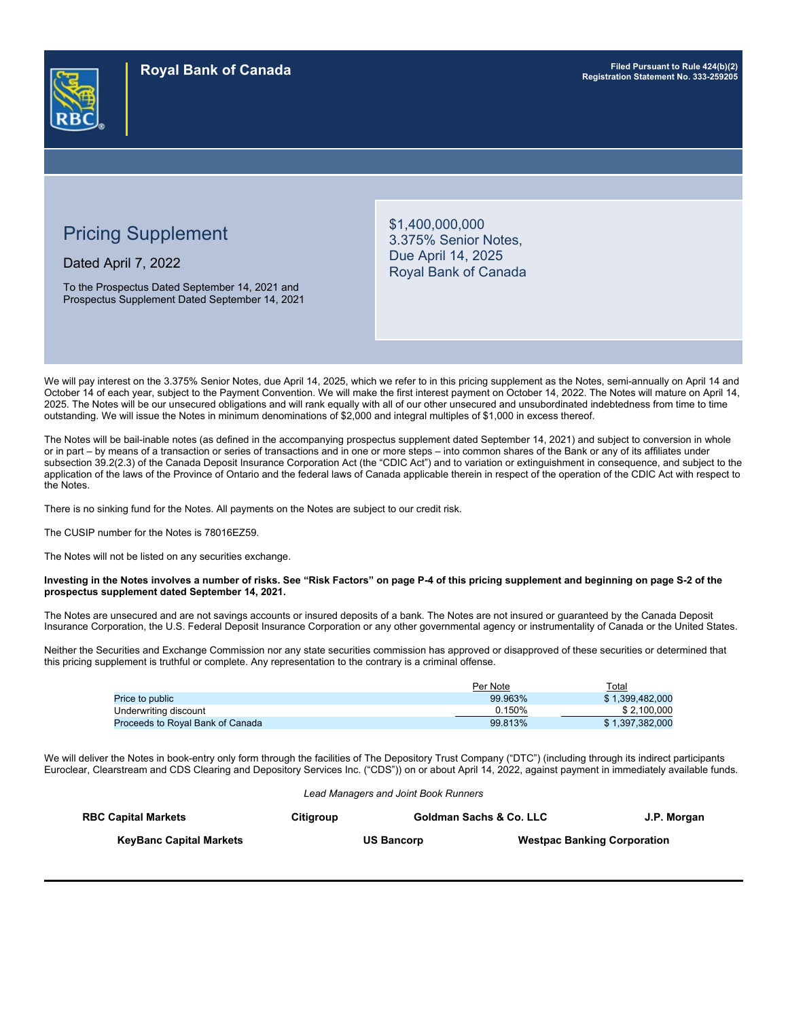

# Pricing Supplement

Dated April 7, 2022

To the Prospectus Dated September 14, 2021 and Prospectus Supplement Dated September 14, 2021 \$1,400,000,000 3.375% Senior Notes, Due April 14, 2025 Royal Bank of Canada

We will pay interest on the 3.375% Senior Notes, due April 14, 2025, which we refer to in this pricing supplement as the Notes, semi-annually on April 14 and October 14 of each year, subject to the Payment Convention. We will make the first interest payment on October 14, 2022. The Notes will mature on April 14, 2025. The Notes will be our unsecured obligations and will rank equally with all of our other unsecured and unsubordinated indebtedness from time to time outstanding. We will issue the Notes in minimum denominations of \$2,000 and integral multiples of \$1,000 in excess thereof.

The Notes will be bail-inable notes (as defined in the accompanying prospectus supplement dated September 14, 2021) and subject to conversion in whole or in part – by means of a transaction or series of transactions and in one or more steps – into common shares of the Bank or any of its affiliates under subsection 39.2(2.3) of the Canada Deposit Insurance Corporation Act (the "CDIC Act") and to variation or extinguishment in consequence, and subject to the application of the laws of the Province of Ontario and the federal laws of Canada applicable therein in respect of the operation of the CDIC Act with respect to the Notes.

There is no sinking fund for the Notes. All payments on the Notes are subject to our credit risk.

The CUSIP number for the Notes is 78016EZ59.

The Notes will not be listed on any securities exchange.

#### **Investing in the Notes involves a number of risks. See "Risk Factors" on page P-4 of this pricing supplement and beginning on page S-2 of the prospectus supplement dated September 14, 2021.**

The Notes are unsecured and are not savings accounts or insured deposits of a bank. The Notes are not insured or guaranteed by the Canada Deposit Insurance Corporation, the U.S. Federal Deposit Insurance Corporation or any other governmental agency or instrumentality of Canada or the United States.

Neither the Securities and Exchange Commission nor any state securities commission has approved or disapproved of these securities or determined that this pricing supplement is truthful or complete. Any representation to the contrary is a criminal offense.

|                                  | Per Note | Total           |
|----------------------------------|----------|-----------------|
| <b>Price to public</b>           | 99.963%  | \$1.399.482.000 |
| Underwriting discount            | 0.150%   | \$2.100.000     |
| Proceeds to Royal Bank of Canada | 99.813%  | \$1.397.382.000 |

We will deliver the Notes in book-entry only form through the facilities of The Depository Trust Company ("DTC") (including through its indirect participants Euroclear, Clearstream and CDS Clearing and Depository Services Inc. ("CDS")) on or about April 14, 2022, against payment in immediately available funds.

| Lead Managers and Joint Book Runners |           |                   |                                    |             |  |
|--------------------------------------|-----------|-------------------|------------------------------------|-------------|--|
| <b>RBC Capital Markets</b>           | Citiaroup |                   | Goldman Sachs & Co. LLC            | J.P. Morgan |  |
| <b>KeyBanc Capital Markets</b>       |           | <b>US Bancorp</b> | <b>Westpac Banking Corporation</b> |             |  |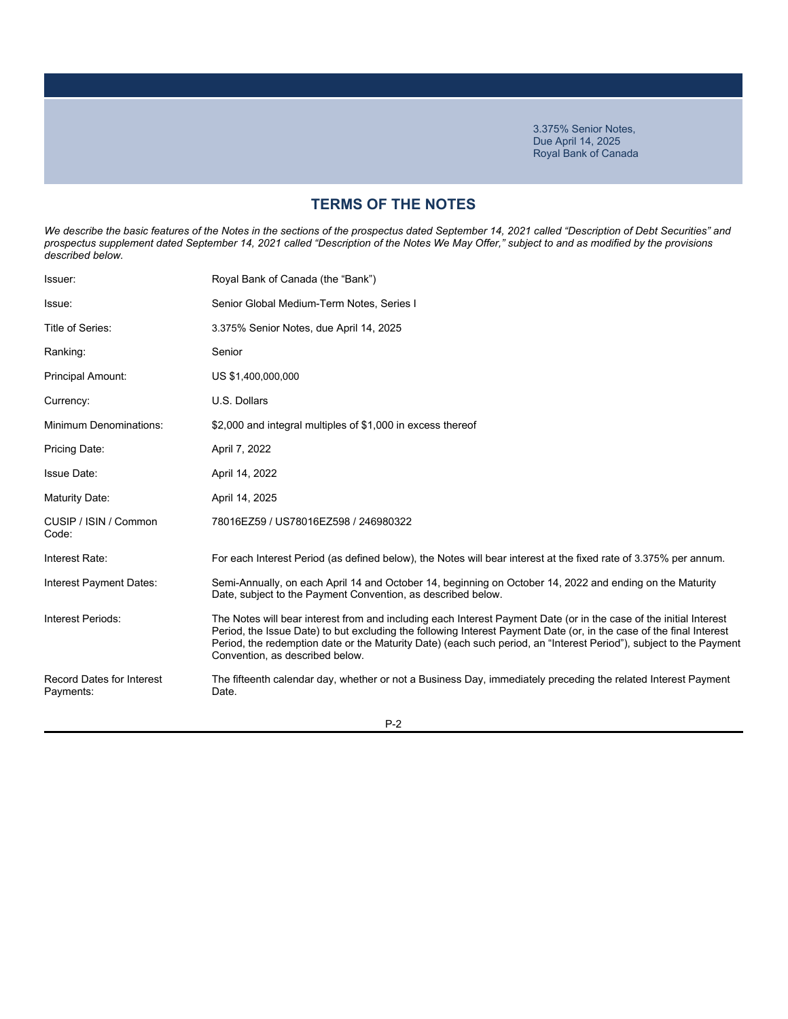# **TERMS OF THE NOTES**

We describe the basic features of the Notes in the sections of the prospectus dated September 14, 2021 called "Description of Debt Securities" and *prospectus supplement dated September 14, 2021 called "Description of the Notes We May Offer," subject to and as modified by the provisions described below.*

| Issuer:                                       | Royal Bank of Canada (the "Bank")                                                                                                                                                                                                                                                                                                                                                                  |
|-----------------------------------------------|----------------------------------------------------------------------------------------------------------------------------------------------------------------------------------------------------------------------------------------------------------------------------------------------------------------------------------------------------------------------------------------------------|
| Issue:                                        | Senior Global Medium-Term Notes, Series I                                                                                                                                                                                                                                                                                                                                                          |
| Title of Series:                              | 3.375% Senior Notes, due April 14, 2025                                                                                                                                                                                                                                                                                                                                                            |
| Ranking:                                      | Senior                                                                                                                                                                                                                                                                                                                                                                                             |
| <b>Principal Amount:</b>                      | US \$1,400,000,000                                                                                                                                                                                                                                                                                                                                                                                 |
| Currency:                                     | U.S. Dollars                                                                                                                                                                                                                                                                                                                                                                                       |
| <b>Minimum Denominations:</b>                 | \$2,000 and integral multiples of \$1,000 in excess thereof                                                                                                                                                                                                                                                                                                                                        |
| Pricing Date:                                 | April 7, 2022                                                                                                                                                                                                                                                                                                                                                                                      |
| Issue Date:                                   | April 14, 2022                                                                                                                                                                                                                                                                                                                                                                                     |
| Maturity Date:                                | April 14, 2025                                                                                                                                                                                                                                                                                                                                                                                     |
| CUSIP / ISIN / Common<br>Code:                | 78016EZ59 / US78016EZ598 / 246980322                                                                                                                                                                                                                                                                                                                                                               |
| Interest Rate:                                | For each Interest Period (as defined below), the Notes will bear interest at the fixed rate of 3.375% per annum.                                                                                                                                                                                                                                                                                   |
| Interest Payment Dates:                       | Semi-Annually, on each April 14 and October 14, beginning on October 14, 2022 and ending on the Maturity<br>Date, subject to the Payment Convention, as described below.                                                                                                                                                                                                                           |
| Interest Periods:                             | The Notes will bear interest from and including each Interest Payment Date (or in the case of the initial Interest<br>Period, the Issue Date) to but excluding the following Interest Payment Date (or, in the case of the final Interest<br>Period, the redemption date or the Maturity Date) (each such period, an "Interest Period"), subject to the Payment<br>Convention, as described below. |
| <b>Record Dates for Interest</b><br>Payments: | The fifteenth calendar day, whether or not a Business Day, immediately preceding the related Interest Payment<br>Date.                                                                                                                                                                                                                                                                             |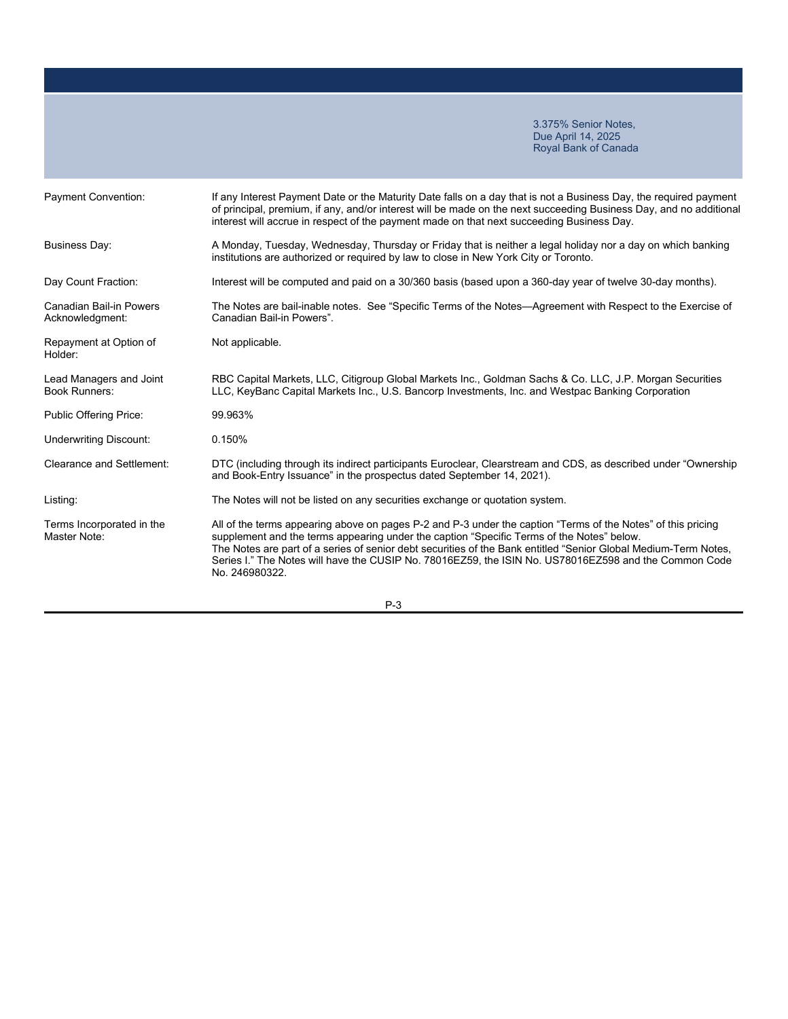| <b>Payment Convention:</b>                      | If any Interest Payment Date or the Maturity Date falls on a day that is not a Business Day, the required payment<br>of principal, premium, if any, and/or interest will be made on the next succeeding Business Day, and no additional<br>interest will accrue in respect of the payment made on that next succeeding Business Day.                                                                                                                    |
|-------------------------------------------------|---------------------------------------------------------------------------------------------------------------------------------------------------------------------------------------------------------------------------------------------------------------------------------------------------------------------------------------------------------------------------------------------------------------------------------------------------------|
| <b>Business Day:</b>                            | A Monday, Tuesday, Wednesday, Thursday or Friday that is neither a legal holiday nor a day on which banking<br>institutions are authorized or required by law to close in New York City or Toronto.                                                                                                                                                                                                                                                     |
| Day Count Fraction:                             | Interest will be computed and paid on a 30/360 basis (based upon a 360-day year of twelve 30-day months).                                                                                                                                                                                                                                                                                                                                               |
| Canadian Bail-in Powers<br>Acknowledgment:      | The Notes are bail-inable notes. See "Specific Terms of the Notes—Agreement with Respect to the Exercise of<br>Canadian Bail-in Powers".                                                                                                                                                                                                                                                                                                                |
| Repayment at Option of<br>Holder:               | Not applicable.                                                                                                                                                                                                                                                                                                                                                                                                                                         |
| Lead Managers and Joint<br><b>Book Runners:</b> | RBC Capital Markets, LLC, Citigroup Global Markets Inc., Goldman Sachs & Co. LLC, J.P. Morgan Securities<br>LLC, KeyBanc Capital Markets Inc., U.S. Bancorp Investments, Inc. and Westpac Banking Corporation                                                                                                                                                                                                                                           |
| Public Offering Price:                          | 99.963%                                                                                                                                                                                                                                                                                                                                                                                                                                                 |
| <b>Underwriting Discount:</b>                   | 0.150%                                                                                                                                                                                                                                                                                                                                                                                                                                                  |
| <b>Clearance and Settlement:</b>                | DTC (including through its indirect participants Euroclear, Clearstream and CDS, as described under "Ownership<br>and Book-Entry Issuance" in the prospectus dated September 14, 2021).                                                                                                                                                                                                                                                                 |
| Listing:                                        | The Notes will not be listed on any securities exchange or quotation system.                                                                                                                                                                                                                                                                                                                                                                            |
| Terms Incorporated in the<br>Master Note:       | All of the terms appearing above on pages P-2 and P-3 under the caption "Terms of the Notes" of this pricing<br>supplement and the terms appearing under the caption "Specific Terms of the Notes" below.<br>The Notes are part of a series of senior debt securities of the Bank entitled "Senior Global Medium-Term Notes,<br>Series I." The Notes will have the CUSIP No. 78016EZ59, the ISIN No. US78016EZ598 and the Common Code<br>No. 246980322. |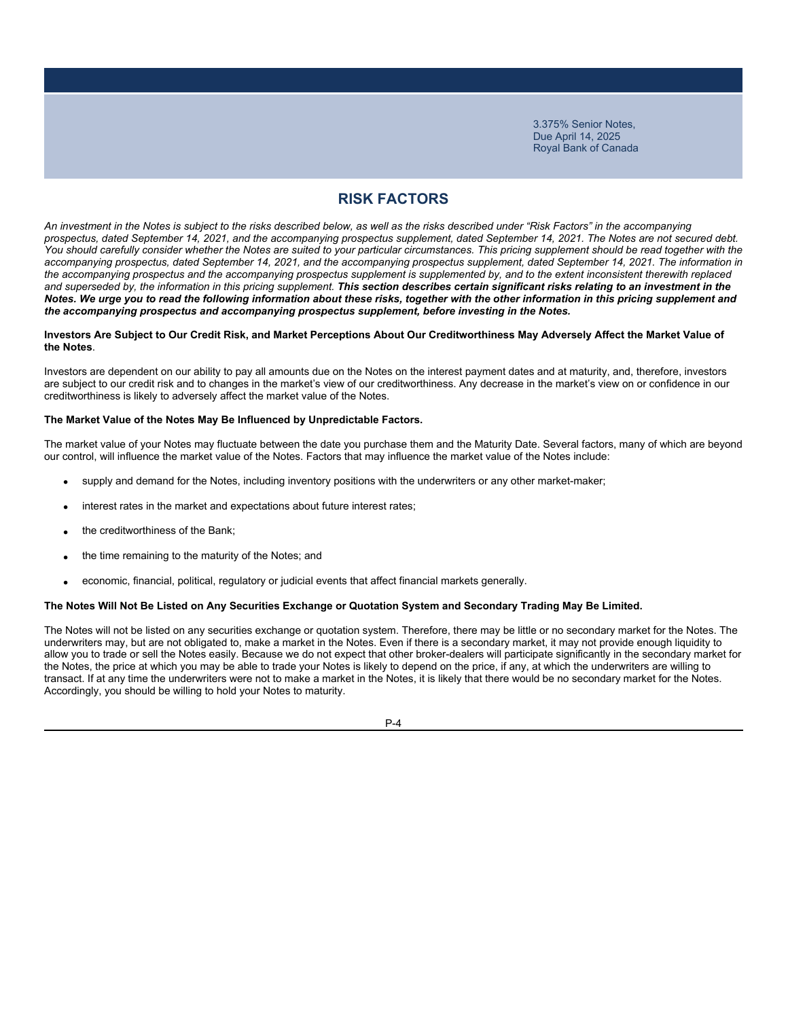# **RISK FACTORS**

*An investment in the Notes is subject to the risks described below, as well as the risks described under "Risk Factors" in the accompanying prospectus, dated September 14, 2021, and the accompanying prospectus supplement, dated September 14, 2021. The Notes are not secured debt.*  You should carefully consider whether the Notes are suited to your particular circumstances. This pricing supplement should be read together with the *accompanying prospectus, dated September 14, 2021, and the accompanying prospectus supplement, dated September 14, 2021. The information in*  the accompanying prospectus and the accompanying prospectus supplement is supplemented by, and to the extent inconsistent therewith replaced and superseded by, the information in this pricing supplement. This section describes certain significant risks relating to an investment in the *Notes. We urge you to read the following information about these risks, together with the other information in this pricing supplement and the accompanying prospectus and accompanying prospectus supplement, before investing in the Notes.*

#### **Investors Are Subject to Our Credit Risk, and Market Perceptions About Our Creditworthiness May Adversely Affect the Market Value of the Notes**.

Investors are dependent on our ability to pay all amounts due on the Notes on the interest payment dates and at maturity, and, therefore, investors are subject to our credit risk and to changes in the market's view of our creditworthiness. Any decrease in the market's view on or confidence in our creditworthiness is likely to adversely affect the market value of the Notes.

### **The Market Value of the Notes May Be Influenced by Unpredictable Factors.**

The market value of your Notes may fluctuate between the date you purchase them and the Maturity Date. Several factors, many of which are beyond our control, will influence the market value of the Notes. Factors that may influence the market value of the Notes include:

- supply and demand for the Notes, including inventory positions with the underwriters or any other market-maker;
- interest rates in the market and expectations about future interest rates;
- the creditworthiness of the Bank;
- the time remaining to the maturity of the Notes; and
- economic, financial, political, regulatory or judicial events that affect financial markets generally.

#### **The Notes Will Not Be Listed on Any Securities Exchange or Quotation System and Secondary Trading May Be Limited.**

The Notes will not be listed on any securities exchange or quotation system. Therefore, there may be little or no secondary market for the Notes. The underwriters may, but are not obligated to, make a market in the Notes. Even if there is a secondary market, it may not provide enough liquidity to allow you to trade or sell the Notes easily. Because we do not expect that other broker-dealers will participate significantly in the secondary market for the Notes, the price at which you may be able to trade your Notes is likely to depend on the price, if any, at which the underwriters are willing to transact. If at any time the underwriters were not to make a market in the Notes, it is likely that there would be no secondary market for the Notes. Accordingly, you should be willing to hold your Notes to maturity.

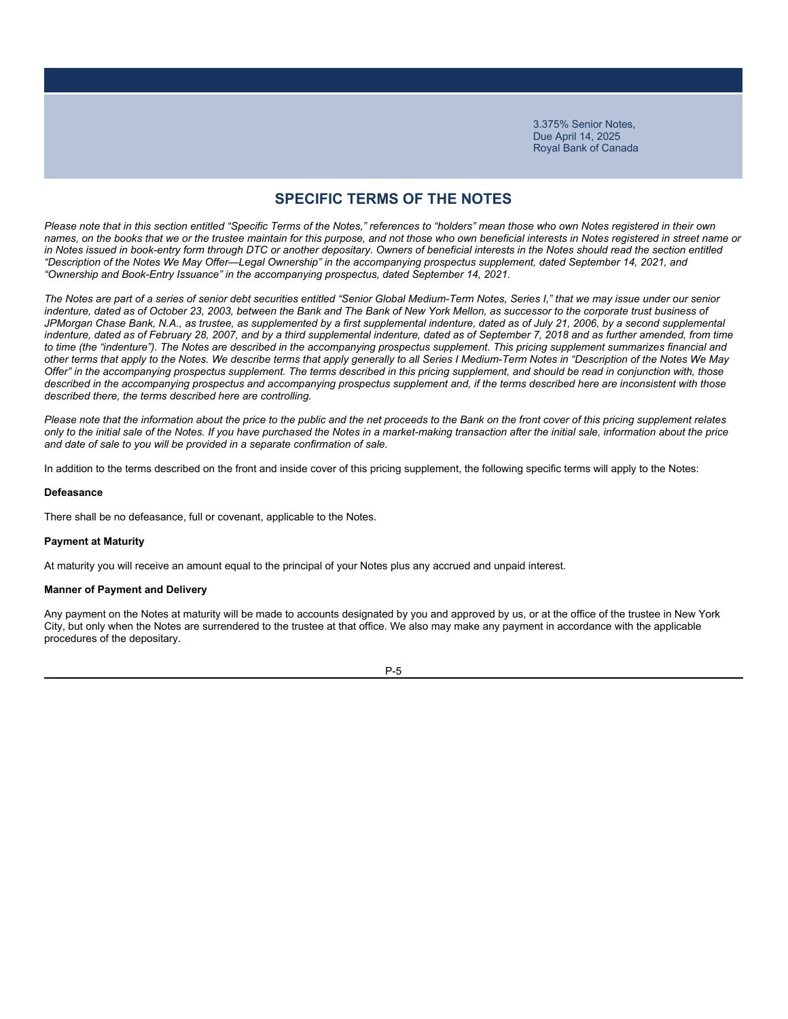### **SPECIFIC TERMS OF THE NOTES**

*Please note that in this section entitled "Specific Terms of the Notes," references to "holders" mean those who own Notes registered in their own names, on the books that we or the trustee maintain for this purpose, and not those who own beneficial interests in Notes registered in street name or*  in Notes issued in book-entry form through DTC or another depositary. Owners of beneficial interests in the Notes should read the section entitled *"Description of the Notes We May Offer—Legal Ownership" in the accompanying prospectus supplement, dated September 14, 2021, and "Ownership and Book-Entry Issuance" in the accompanying prospectus, dated September 14, 2021.*

*The Notes are part of a series of senior debt securities entitled "Senior Global Medium-Term Notes, Series I," that we may issue under our senior indenture, dated as of October 23, 2003, between the Bank and The Bank of New York Mellon, as successor to the corporate trust business of*  JPMorgan Chase Bank, N.A., as trustee, as supplemented by a first supplemental indenture, dated as of July 21, 2006, by a second supplemental *indenture, dated as of February 28, 2007, and by a third supplemental indenture, dated as of September 7, 2018 and as further amended, from time to time (the "indenture"). The Notes are described in the accompanying prospectus supplement. This pricing supplement summarizes financial and other terms that apply to the Notes. We describe terms that apply generally to all Series I Medium-Term Notes in "Description of the Notes We May Offer" in the accompanying prospectus supplement. The terms described in this pricing supplement, and should be read in conjunction with, those*  described in the accompanying prospectus and accompanying prospectus supplement and, if the terms described here are inconsistent with those *described there, the terms described here are controlling.*

*Please note that the information about the price to the public and the net proceeds to the Bank on the front cover of this pricing supplement relates only to the initial sale of the Notes. If you have purchased the Notes in a market-making transaction after the initial sale, information about the price and date of sale to you will be provided in a separate confirmation of sale.*

In addition to the terms described on the front and inside cover of this pricing supplement, the following specific terms will apply to the Notes:

#### **Defeasance**

There shall be no defeasance, full or covenant, applicable to the Notes.

#### **Payment at Maturity**

At maturity you will receive an amount equal to the principal of your Notes plus any accrued and unpaid interest.

#### **Manner of Payment and Delivery**

Any payment on the Notes at maturity will be made to accounts designated by you and approved by us, or at the office of the trustee in New York City, but only when the Notes are surrendered to the trustee at that office. We also may make any payment in accordance with the applicable procedures of the depositary.

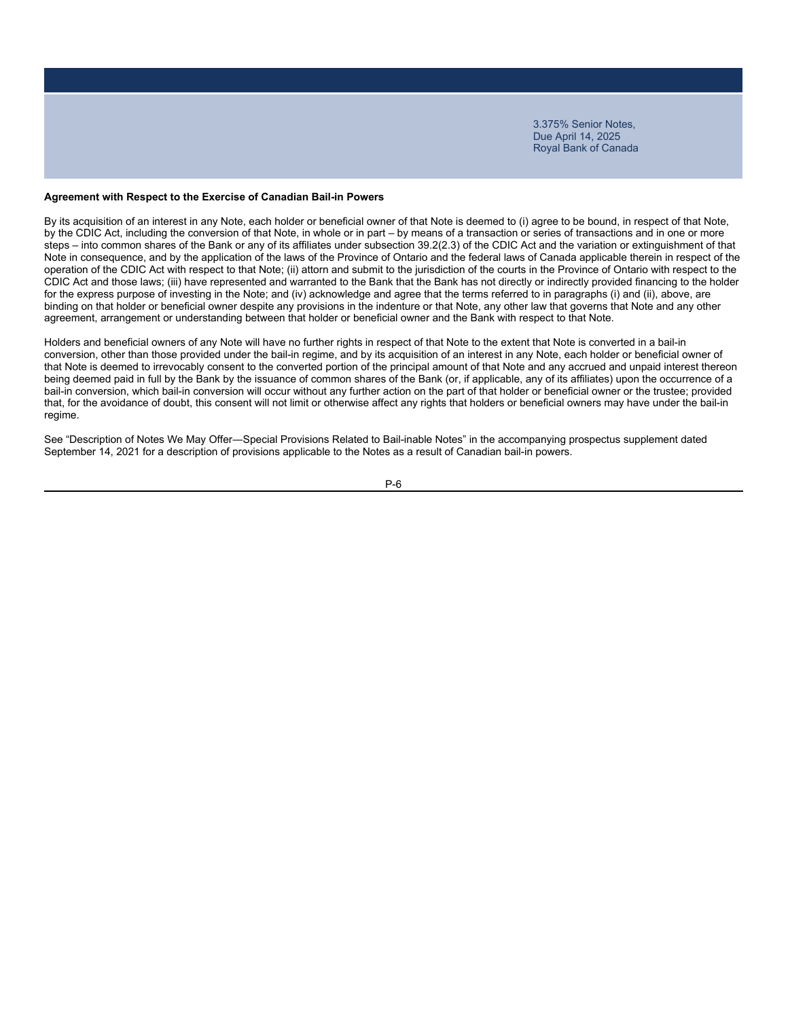### **Agreement with Respect to the Exercise of Canadian Bail-in Powers**

By its acquisition of an interest in any Note, each holder or beneficial owner of that Note is deemed to (i) agree to be bound, in respect of that Note, by the CDIC Act, including the conversion of that Note, in whole or in part – by means of a transaction or series of transactions and in one or more steps – into common shares of the Bank or any of its affiliates under subsection 39.2(2.3) of the CDIC Act and the variation or extinguishment of that Note in consequence, and by the application of the laws of the Province of Ontario and the federal laws of Canada applicable therein in respect of the operation of the CDIC Act with respect to that Note; (ii) attorn and submit to the jurisdiction of the courts in the Province of Ontario with respect to the CDIC Act and those laws; (iii) have represented and warranted to the Bank that the Bank has not directly or indirectly provided financing to the holder for the express purpose of investing in the Note; and (iv) acknowledge and agree that the terms referred to in paragraphs (i) and (ii), above, are binding on that holder or beneficial owner despite any provisions in the indenture or that Note, any other law that governs that Note and any other agreement, arrangement or understanding between that holder or beneficial owner and the Bank with respect to that Note.

Holders and beneficial owners of any Note will have no further rights in respect of that Note to the extent that Note is converted in a bail-in conversion, other than those provided under the bail-in regime, and by its acquisition of an interest in any Note, each holder or beneficial owner of that Note is deemed to irrevocably consent to the converted portion of the principal amount of that Note and any accrued and unpaid interest thereon being deemed paid in full by the Bank by the issuance of common shares of the Bank (or, if applicable, any of its affiliates) upon the occurrence of a bail-in conversion, which bail-in conversion will occur without any further action on the part of that holder or beneficial owner or the trustee; provided that, for the avoidance of doubt, this consent will not limit or otherwise affect any rights that holders or beneficial owners may have under the bail-in regime.

See "Description of Notes We May Offer―Special Provisions Related to Bail-inable Notes" in the accompanying prospectus supplement dated September 14, 2021 for a description of provisions applicable to the Notes as a result of Canadian bail-in powers.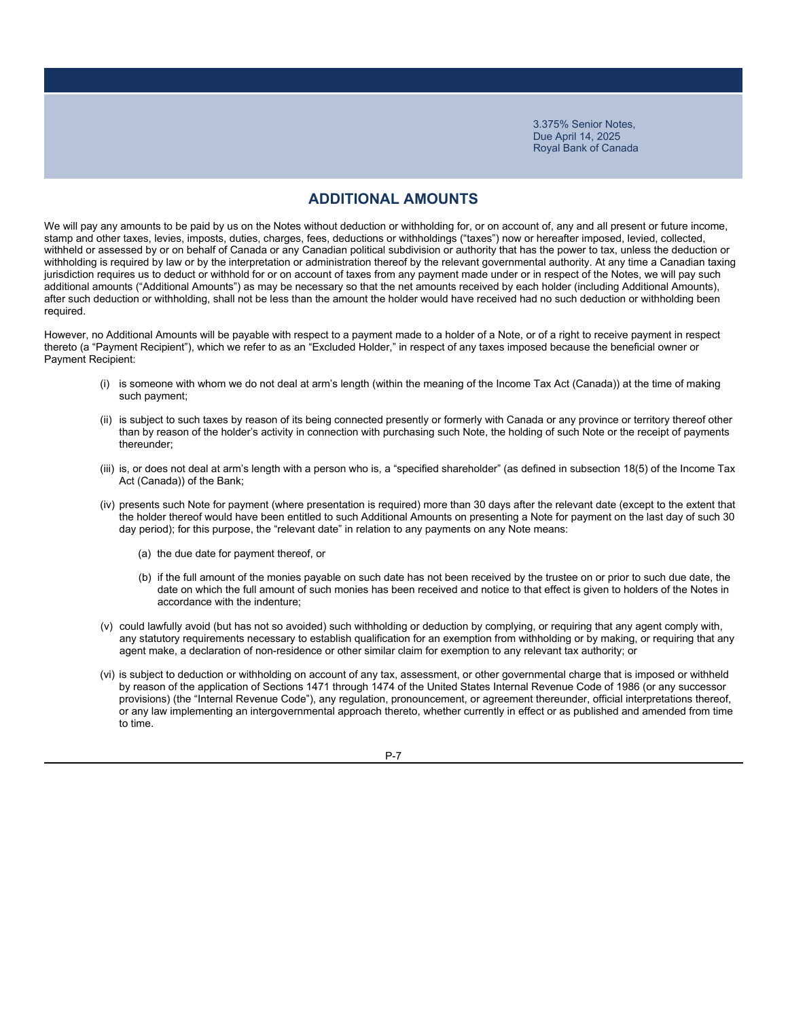### **ADDITIONAL AMOUNTS**

We will pay any amounts to be paid by us on the Notes without deduction or withholding for, or on account of, any and all present or future income, stamp and other taxes, levies, imposts, duties, charges, fees, deductions or withholdings ("taxes") now or hereafter imposed, levied, collected, withheld or assessed by or on behalf of Canada or any Canadian political subdivision or authority that has the power to tax, unless the deduction or withholding is required by law or by the interpretation or administration thereof by the relevant governmental authority. At any time a Canadian taxing jurisdiction requires us to deduct or withhold for or on account of taxes from any payment made under or in respect of the Notes, we will pay such additional amounts ("Additional Amounts") as may be necessary so that the net amounts received by each holder (including Additional Amounts), after such deduction or withholding, shall not be less than the amount the holder would have received had no such deduction or withholding been required.

However, no Additional Amounts will be payable with respect to a payment made to a holder of a Note, or of a right to receive payment in respect thereto (a "Payment Recipient"), which we refer to as an "Excluded Holder," in respect of any taxes imposed because the beneficial owner or Payment Recipient:

- (i) is someone with whom we do not deal at arm's length (within the meaning of the Income Tax Act (Canada)) at the time of making such payment;
- (ii) is subject to such taxes by reason of its being connected presently or formerly with Canada or any province or territory thereof other than by reason of the holder's activity in connection with purchasing such Note, the holding of such Note or the receipt of payments thereunder;
- (iii) is, or does not deal at arm's length with a person who is, a "specified shareholder" (as defined in subsection 18(5) of the Income Tax Act (Canada)) of the Bank;
- (iv) presents such Note for payment (where presentation is required) more than 30 days after the relevant date (except to the extent that the holder thereof would have been entitled to such Additional Amounts on presenting a Note for payment on the last day of such 30 day period); for this purpose, the "relevant date" in relation to any payments on any Note means:
	- (a) the due date for payment thereof, or
	- (b) if the full amount of the monies payable on such date has not been received by the trustee on or prior to such due date, the date on which the full amount of such monies has been received and notice to that effect is given to holders of the Notes in accordance with the indenture;
- (v) could lawfully avoid (but has not so avoided) such withholding or deduction by complying, or requiring that any agent comply with, any statutory requirements necessary to establish qualification for an exemption from withholding or by making, or requiring that any agent make, a declaration of non-residence or other similar claim for exemption to any relevant tax authority; or
- (vi) is subject to deduction or withholding on account of any tax, assessment, or other governmental charge that is imposed or withheld by reason of the application of Sections 1471 through 1474 of the United States Internal Revenue Code of 1986 (or any successor provisions) (the "Internal Revenue Code"), any regulation, pronouncement, or agreement thereunder, official interpretations thereof, or any law implementing an intergovernmental approach thereto, whether currently in effect or as published and amended from time to time.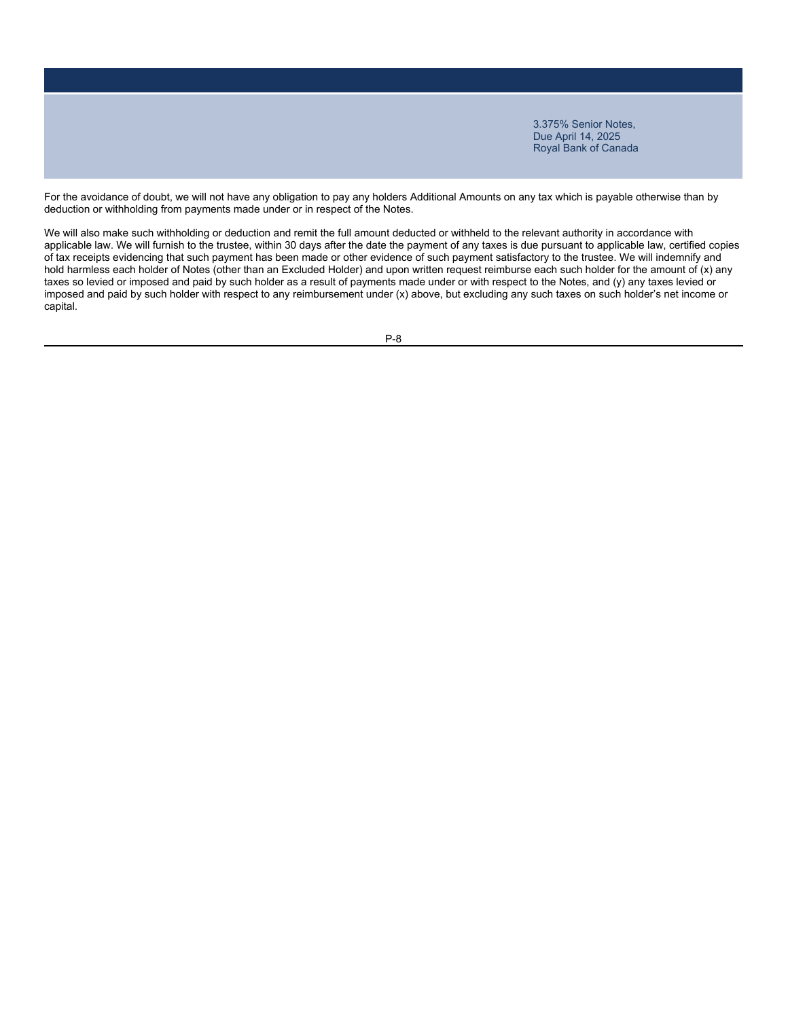For the avoidance of doubt, we will not have any obligation to pay any holders Additional Amounts on any tax which is payable otherwise than by deduction or withholding from payments made under or in respect of the Notes.

We will also make such withholding or deduction and remit the full amount deducted or withheld to the relevant authority in accordance with applicable law. We will furnish to the trustee, within 30 days after the date the payment of any taxes is due pursuant to applicable law, certified copies of tax receipts evidencing that such payment has been made or other evidence of such payment satisfactory to the trustee. We will indemnify and hold harmless each holder of Notes (other than an Excluded Holder) and upon written request reimburse each such holder for the amount of (x) any taxes so levied or imposed and paid by such holder as a result of payments made under or with respect to the Notes, and (y) any taxes levied or imposed and paid by such holder with respect to any reimbursement under (x) above, but excluding any such taxes on such holder's net income or capital.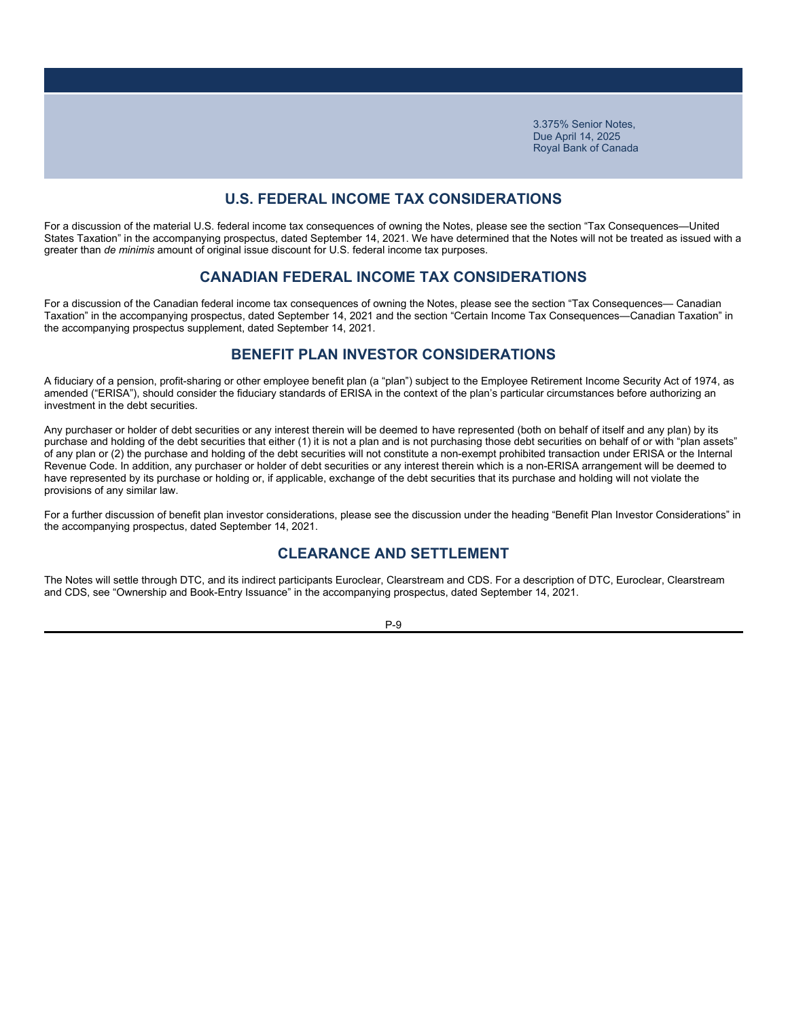### **U.S. FEDERAL INCOME TAX CONSIDERATIONS**

For a discussion of the material U.S. federal income tax consequences of owning the Notes, please see the section "Tax Consequences—United States Taxation" in the accompanying prospectus, dated September 14, 2021. We have determined that the Notes will not be treated as issued with a greater than *de minimis* amount of original issue discount for U.S. federal income tax purposes.

### **CANADIAN FEDERAL INCOME TAX CONSIDERATIONS**

For a discussion of the Canadian federal income tax consequences of owning the Notes, please see the section "Tax Consequences— Canadian Taxation" in the accompanying prospectus, dated September 14, 2021 and the section "Certain Income Tax Consequences—Canadian Taxation" in the accompanying prospectus supplement, dated September 14, 2021.

### **BENEFIT PLAN INVESTOR CONSIDERATIONS**

A fiduciary of a pension, profit-sharing or other employee benefit plan (a "plan") subject to the Employee Retirement Income Security Act of 1974, as amended ("ERISA"), should consider the fiduciary standards of ERISA in the context of the plan's particular circumstances before authorizing an investment in the debt securities.

Any purchaser or holder of debt securities or any interest therein will be deemed to have represented (both on behalf of itself and any plan) by its purchase and holding of the debt securities that either (1) it is not a plan and is not purchasing those debt securities on behalf of or with "plan assets" of any plan or (2) the purchase and holding of the debt securities will not constitute a non-exempt prohibited transaction under ERISA or the Internal Revenue Code. In addition, any purchaser or holder of debt securities or any interest therein which is a non-ERISA arrangement will be deemed to have represented by its purchase or holding or, if applicable, exchange of the debt securities that its purchase and holding will not violate the provisions of any similar law.

For a further discussion of benefit plan investor considerations, please see the discussion under the heading "Benefit Plan Investor Considerations" in the accompanying prospectus, dated September 14, 2021.

### **CLEARANCE AND SETTLEMENT**

The Notes will settle through DTC, and its indirect participants Euroclear, Clearstream and CDS. For a description of DTC, Euroclear, Clearstream and CDS, see "Ownership and Book-Entry Issuance" in the accompanying prospectus, dated September 14, 2021.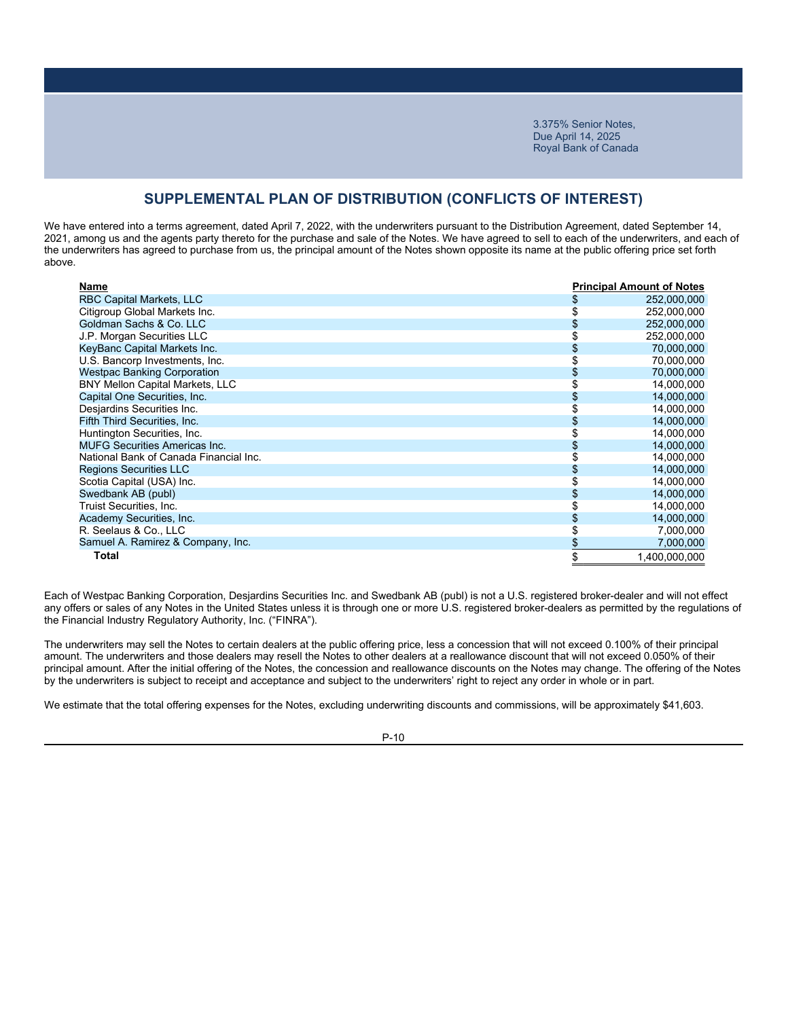### **SUPPLEMENTAL PLAN OF DISTRIBUTION (CONFLICTS OF INTEREST)**

We have entered into a terms agreement, dated April 7, 2022, with the underwriters pursuant to the Distribution Agreement, dated September 14, 2021, among us and the agents party thereto for the purchase and sale of the Notes. We have agreed to sell to each of the underwriters, and each of the underwriters has agreed to purchase from us, the principal amount of the Notes shown opposite its name at the public offering price set forth above.

| Name                                   | <b>Principal Amount of Notes</b> |
|----------------------------------------|----------------------------------|
| RBC Capital Markets, LLC               | 252,000,000                      |
| Citigroup Global Markets Inc.          | 252,000,000                      |
| Goldman Sachs & Co. LLC                | 252,000,000                      |
| J.P. Morgan Securities LLC             | 252,000,000                      |
| KeyBanc Capital Markets Inc.           | 70,000,000                       |
| U.S. Bancorp Investments, Inc.         | 70,000,000                       |
| <b>Westpac Banking Corporation</b>     | 70,000,000                       |
| <b>BNY Mellon Capital Markets, LLC</b> | 14,000,000                       |
| Capital One Securities, Inc.           | 14,000,000                       |
| Desjardins Securities Inc.             | 14,000,000                       |
| Fifth Third Securities, Inc.           | 14,000,000                       |
| Huntington Securities, Inc.            | 14,000,000                       |
| <b>MUFG Securities Americas Inc.</b>   | 14,000,000                       |
| National Bank of Canada Financial Inc. | 14,000,000                       |
| <b>Regions Securities LLC</b>          | 14,000,000                       |
| Scotia Capital (USA) Inc.              | 14,000,000                       |
| Swedbank AB (publ)                     | 14,000,000                       |
| Truist Securities, Inc.                | 14,000,000                       |
| Academy Securities, Inc.               | 14,000,000                       |
| R. Seelaus & Co., LLC                  | 7,000,000                        |
| Samuel A. Ramirez & Company, Inc.      | 7,000,000                        |
| Total                                  | 1.400.000.000                    |

Each of Westpac Banking Corporation, Desjardins Securities Inc. and Swedbank AB (publ) is not a U.S. registered broker-dealer and will not effect any offers or sales of any Notes in the United States unless it is through one or more U.S. registered broker-dealers as permitted by the regulations of the Financial Industry Regulatory Authority, Inc. ("FINRA").

The underwriters may sell the Notes to certain dealers at the public offering price, less a concession that will not exceed 0.100% of their principal amount. The underwriters and those dealers may resell the Notes to other dealers at a reallowance discount that will not exceed 0.050% of their principal amount. After the initial offering of the Notes, the concession and reallowance discounts on the Notes may change. The offering of the Notes by the underwriters is subject to receipt and acceptance and subject to the underwriters' right to reject any order in whole or in part.

We estimate that the total offering expenses for the Notes, excluding underwriting discounts and commissions, will be approximately \$41,603.

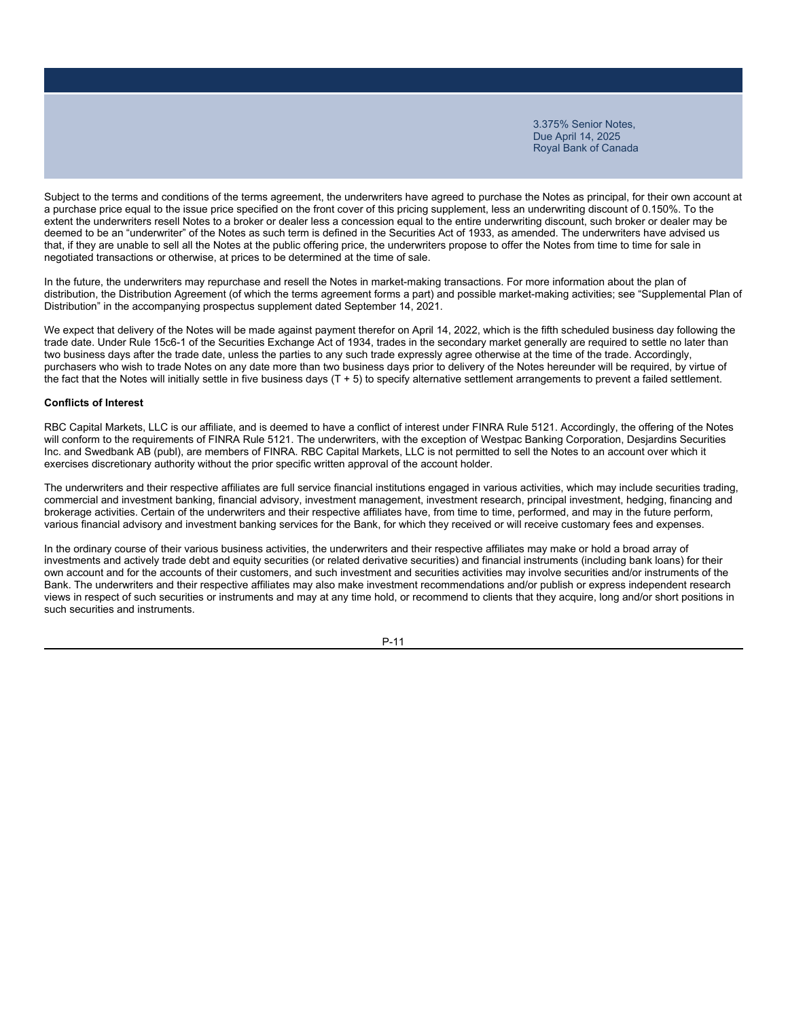Subject to the terms and conditions of the terms agreement, the underwriters have agreed to purchase the Notes as principal, for their own account at a purchase price equal to the issue price specified on the front cover of this pricing supplement, less an underwriting discount of 0.150%. To the extent the underwriters resell Notes to a broker or dealer less a concession equal to the entire underwriting discount, such broker or dealer may be deemed to be an "underwriter" of the Notes as such term is defined in the Securities Act of 1933, as amended. The underwriters have advised us that, if they are unable to sell all the Notes at the public offering price, the underwriters propose to offer the Notes from time to time for sale in negotiated transactions or otherwise, at prices to be determined at the time of sale.

In the future, the underwriters may repurchase and resell the Notes in market-making transactions. For more information about the plan of distribution, the Distribution Agreement (of which the terms agreement forms a part) and possible market-making activities; see "Supplemental Plan of Distribution" in the accompanying prospectus supplement dated September 14, 2021.

We expect that delivery of the Notes will be made against payment therefor on April 14, 2022, which is the fifth scheduled business day following the trade date. Under Rule 15c6-1 of the Securities Exchange Act of 1934, trades in the secondary market generally are required to settle no later than two business days after the trade date, unless the parties to any such trade expressly agree otherwise at the time of the trade. Accordingly, purchasers who wish to trade Notes on any date more than two business days prior to delivery of the Notes hereunder will be required, by virtue of the fact that the Notes will initially settle in five business days (T + 5) to specify alternative settlement arrangements to prevent a failed settlement.

#### **Conflicts of Interest**

RBC Capital Markets, LLC is our affiliate, and is deemed to have a conflict of interest under FINRA Rule 5121. Accordingly, the offering of the Notes will conform to the requirements of FINRA Rule 5121. The underwriters, with the exception of Westpac Banking Corporation, Desjardins Securities Inc. and Swedbank AB (publ), are members of FINRA. RBC Capital Markets, LLC is not permitted to sell the Notes to an account over which it exercises discretionary authority without the prior specific written approval of the account holder.

The underwriters and their respective affiliates are full service financial institutions engaged in various activities, which may include securities trading, commercial and investment banking, financial advisory, investment management, investment research, principal investment, hedging, financing and brokerage activities. Certain of the underwriters and their respective affiliates have, from time to time, performed, and may in the future perform, various financial advisory and investment banking services for the Bank, for which they received or will receive customary fees and expenses.

In the ordinary course of their various business activities, the underwriters and their respective affiliates may make or hold a broad array of investments and actively trade debt and equity securities (or related derivative securities) and financial instruments (including bank loans) for their own account and for the accounts of their customers, and such investment and securities activities may involve securities and/or instruments of the Bank. The underwriters and their respective affiliates may also make investment recommendations and/or publish or express independent research views in respect of such securities or instruments and may at any time hold, or recommend to clients that they acquire, long and/or short positions in such securities and instruments.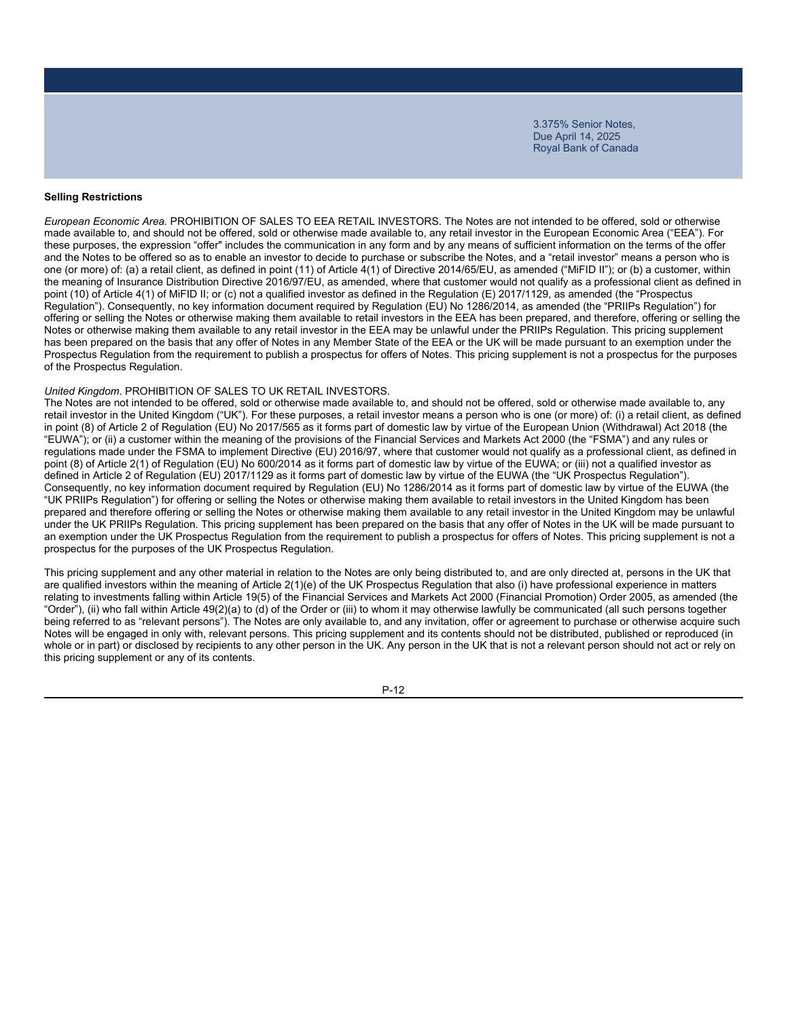### **Selling Restrictions**

*European Economic Area.* PROHIBITION OF SALES TO EEA RETAIL INVESTORS. The Notes are not intended to be offered, sold or otherwise made available to, and should not be offered, sold or otherwise made available to, any retail investor in the European Economic Area ("EEA"). For these purposes, the expression "offer" includes the communication in any form and by any means of sufficient information on the terms of the offer and the Notes to be offered so as to enable an investor to decide to purchase or subscribe the Notes, and a "retail investor" means a person who is one (or more) of: (a) a retail client, as defined in point (11) of Article 4(1) of Directive 2014/65/EU, as amended ("MiFID II"); or (b) a customer, within the meaning of Insurance Distribution Directive 2016/97/EU, as amended, where that customer would not qualify as a professional client as defined in point (10) of Article 4(1) of MiFID II; or (c) not a qualified investor as defined in the Regulation (E) 2017/1129, as amended (the "Prospectus Regulation"). Consequently, no key information document required by Regulation (EU) No 1286/2014, as amended (the "PRIIPs Regulation") for offering or selling the Notes or otherwise making them available to retail investors in the EEA has been prepared, and therefore, offering or selling the Notes or otherwise making them available to any retail investor in the EEA may be unlawful under the PRIIPs Regulation. This pricing supplement has been prepared on the basis that any offer of Notes in any Member State of the EEA or the UK will be made pursuant to an exemption under the Prospectus Regulation from the requirement to publish a prospectus for offers of Notes. This pricing supplement is not a prospectus for the purposes of the Prospectus Regulation.

### *United Kingdom*. PROHIBITION OF SALES TO UK RETAIL INVESTORS.

The Notes are not intended to be offered, sold or otherwise made available to, and should not be offered, sold or otherwise made available to, any retail investor in the United Kingdom ("UK"). For these purposes, a retail investor means a person who is one (or more) of: (i) a retail client, as defined in point (8) of Article 2 of Regulation (EU) No 2017/565 as it forms part of domestic law by virtue of the European Union (Withdrawal) Act 2018 (the "EUWA"); or (ii) a customer within the meaning of the provisions of the Financial Services and Markets Act 2000 (the "FSMA") and any rules or regulations made under the FSMA to implement Directive (EU) 2016/97, where that customer would not qualify as a professional client, as defined in point (8) of Article 2(1) of Regulation (EU) No 600/2014 as it forms part of domestic law by virtue of the EUWA; or (iii) not a qualified investor as defined in Article 2 of Regulation (EU) 2017/1129 as it forms part of domestic law by virtue of the EUWA (the "UK Prospectus Regulation"). Consequently, no key information document required by Regulation (EU) No 1286/2014 as it forms part of domestic law by virtue of the EUWA (the "UK PRIIPs Regulation") for offering or selling the Notes or otherwise making them available to retail investors in the United Kingdom has been prepared and therefore offering or selling the Notes or otherwise making them available to any retail investor in the United Kingdom may be unlawful under the UK PRIIPs Regulation. This pricing supplement has been prepared on the basis that any offer of Notes in the UK will be made pursuant to an exemption under the UK Prospectus Regulation from the requirement to publish a prospectus for offers of Notes. This pricing supplement is not a prospectus for the purposes of the UK Prospectus Regulation.

This pricing supplement and any other material in relation to the Notes are only being distributed to, and are only directed at, persons in the UK that are qualified investors within the meaning of Article 2(1)(e) of the UK Prospectus Regulation that also (i) have professional experience in matters relating to investments falling within Article 19(5) of the Financial Services and Markets Act 2000 (Financial Promotion) Order 2005, as amended (the "Order"), (ii) who fall within Article 49(2)(a) to (d) of the Order or (iii) to whom it may otherwise lawfully be communicated (all such persons together being referred to as "relevant persons"). The Notes are only available to, and any invitation, offer or agreement to purchase or otherwise acquire such Notes will be engaged in only with, relevant persons. This pricing supplement and its contents should not be distributed, published or reproduced (in whole or in part) or disclosed by recipients to any other person in the UK. Any person in the UK that is not a relevant person should not act or rely on this pricing supplement or any of its contents.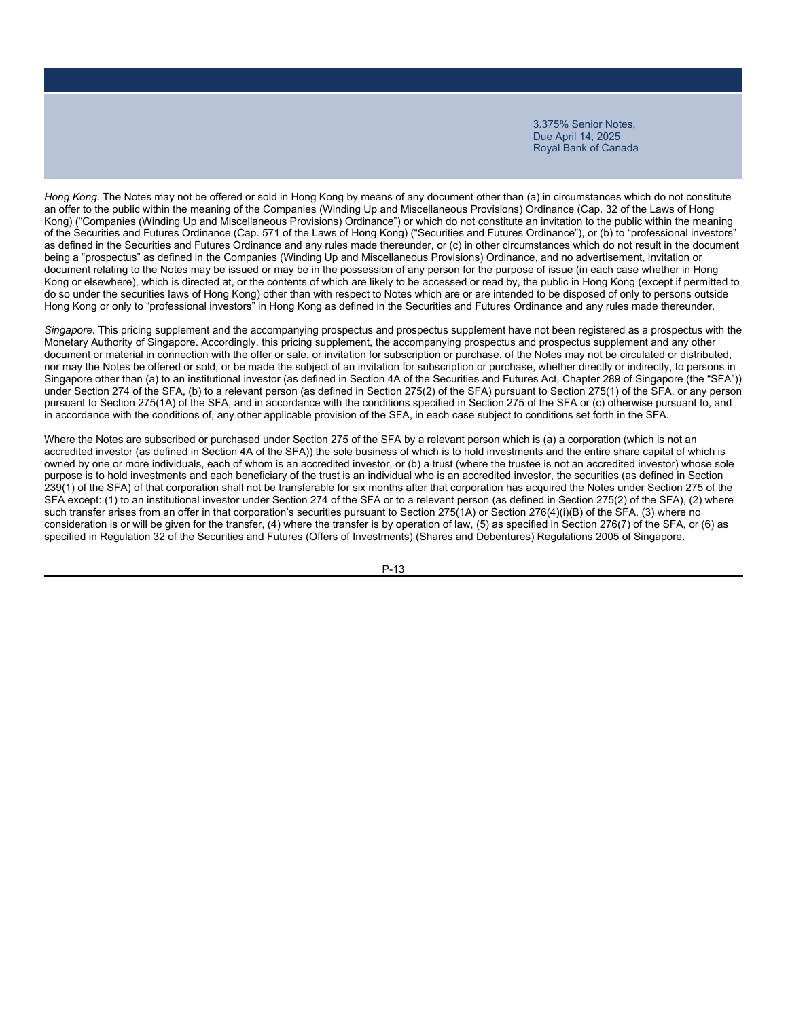*Hong Kong*. The Notes may not be offered or sold in Hong Kong by means of any document other than (a) in circumstances which do not constitute an offer to the public within the meaning of the Companies (Winding Up and Miscellaneous Provisions) Ordinance (Cap. 32 of the Laws of Hong Kong) ("Companies (Winding Up and Miscellaneous Provisions) Ordinance") or which do not constitute an invitation to the public within the meaning of the Securities and Futures Ordinance (Cap. 571 of the Laws of Hong Kong) ("Securities and Futures Ordinance"), or (b) to "professional investors" as defined in the Securities and Futures Ordinance and any rules made thereunder, or (c) in other circumstances which do not result in the document being a "prospectus" as defined in the Companies (Winding Up and Miscellaneous Provisions) Ordinance, and no advertisement, invitation or document relating to the Notes may be issued or may be in the possession of any person for the purpose of issue (in each case whether in Hong Kong or elsewhere), which is directed at, or the contents of which are likely to be accessed or read by, the public in Hong Kong (except if permitted to do so under the securities laws of Hong Kong) other than with respect to Notes which are or are intended to be disposed of only to persons outside Hong Kong or only to "professional investors" in Hong Kong as defined in the Securities and Futures Ordinance and any rules made thereunder.

*Singapore*. This pricing supplement and the accompanying prospectus and prospectus supplement have not been registered as a prospectus with the Monetary Authority of Singapore. Accordingly, this pricing supplement, the accompanying prospectus and prospectus supplement and any other document or material in connection with the offer or sale, or invitation for subscription or purchase, of the Notes may not be circulated or distributed, nor may the Notes be offered or sold, or be made the subject of an invitation for subscription or purchase, whether directly or indirectly, to persons in Singapore other than (a) to an institutional investor (as defined in Section 4A of the Securities and Futures Act, Chapter 289 of Singapore (the "SFA")) under Section 274 of the SFA, (b) to a relevant person (as defined in Section 275(2) of the SFA) pursuant to Section 275(1) of the SFA, or any person pursuant to Section 275(1A) of the SFA, and in accordance with the conditions specified in Section 275 of the SFA or (c) otherwise pursuant to, and in accordance with the conditions of, any other applicable provision of the SFA, in each case subject to conditions set forth in the SFA.

Where the Notes are subscribed or purchased under Section 275 of the SFA by a relevant person which is (a) a corporation (which is not an accredited investor (as defined in Section 4A of the SFA)) the sole business of which is to hold investments and the entire share capital of which is owned by one or more individuals, each of whom is an accredited investor, or (b) a trust (where the trustee is not an accredited investor) whose sole purpose is to hold investments and each beneficiary of the trust is an individual who is an accredited investor, the securities (as defined in Section 239(1) of the SFA) of that corporation shall not be transferable for six months after that corporation has acquired the Notes under Section 275 of the SFA except: (1) to an institutional investor under Section 274 of the SFA or to a relevant person (as defined in Section 275(2) of the SFA), (2) where such transfer arises from an offer in that corporation's securities pursuant to Section 275(1A) or Section 276(4)(i)(B) of the SFA, (3) where no consideration is or will be given for the transfer, (4) where the transfer is by operation of law, (5) as specified in Section 276(7) of the SFA, or (6) as specified in Regulation 32 of the Securities and Futures (Offers of Investments) (Shares and Debentures) Regulations 2005 of Singapore.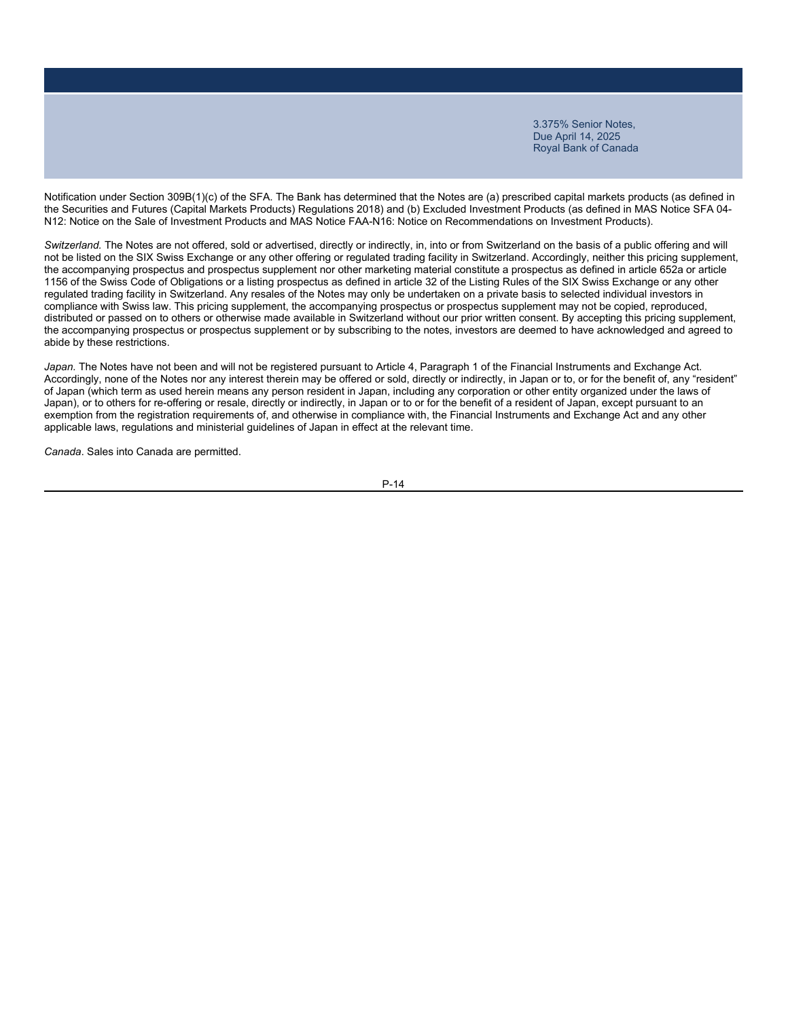Notification under Section 309B(1)(c) of the SFA. The Bank has determined that the Notes are (a) prescribed capital markets products (as defined in the Securities and Futures (Capital Markets Products) Regulations 2018) and (b) Excluded Investment Products (as defined in MAS Notice SFA 04- N12: Notice on the Sale of Investment Products and MAS Notice FAA-N16: Notice on Recommendations on Investment Products).

*Switzerland.* The Notes are not offered, sold or advertised, directly or indirectly, in, into or from Switzerland on the basis of a public offering and will not be listed on the SIX Swiss Exchange or any other offering or regulated trading facility in Switzerland. Accordingly, neither this pricing supplement, the accompanying prospectus and prospectus supplement nor other marketing material constitute a prospectus as defined in article 652a or article 1156 of the Swiss Code of Obligations or a listing prospectus as defined in article 32 of the Listing Rules of the SIX Swiss Exchange or any other regulated trading facility in Switzerland. Any resales of the Notes may only be undertaken on a private basis to selected individual investors in compliance with Swiss law. This pricing supplement, the accompanying prospectus or prospectus supplement may not be copied, reproduced, distributed or passed on to others or otherwise made available in Switzerland without our prior written consent. By accepting this pricing supplement, the accompanying prospectus or prospectus supplement or by subscribing to the notes, investors are deemed to have acknowledged and agreed to abide by these restrictions.

*Japan.* The Notes have not been and will not be registered pursuant to Article 4, Paragraph 1 of the Financial Instruments and Exchange Act. Accordingly, none of the Notes nor any interest therein may be offered or sold, directly or indirectly, in Japan or to, or for the benefit of, any "resident" of Japan (which term as used herein means any person resident in Japan, including any corporation or other entity organized under the laws of Japan), or to others for re-offering or resale, directly or indirectly, in Japan or to or for the benefit of a resident of Japan, except pursuant to an exemption from the registration requirements of, and otherwise in compliance with, the Financial Instruments and Exchange Act and any other applicable laws, regulations and ministerial guidelines of Japan in effect at the relevant time.

*Canada*. Sales into Canada are permitted.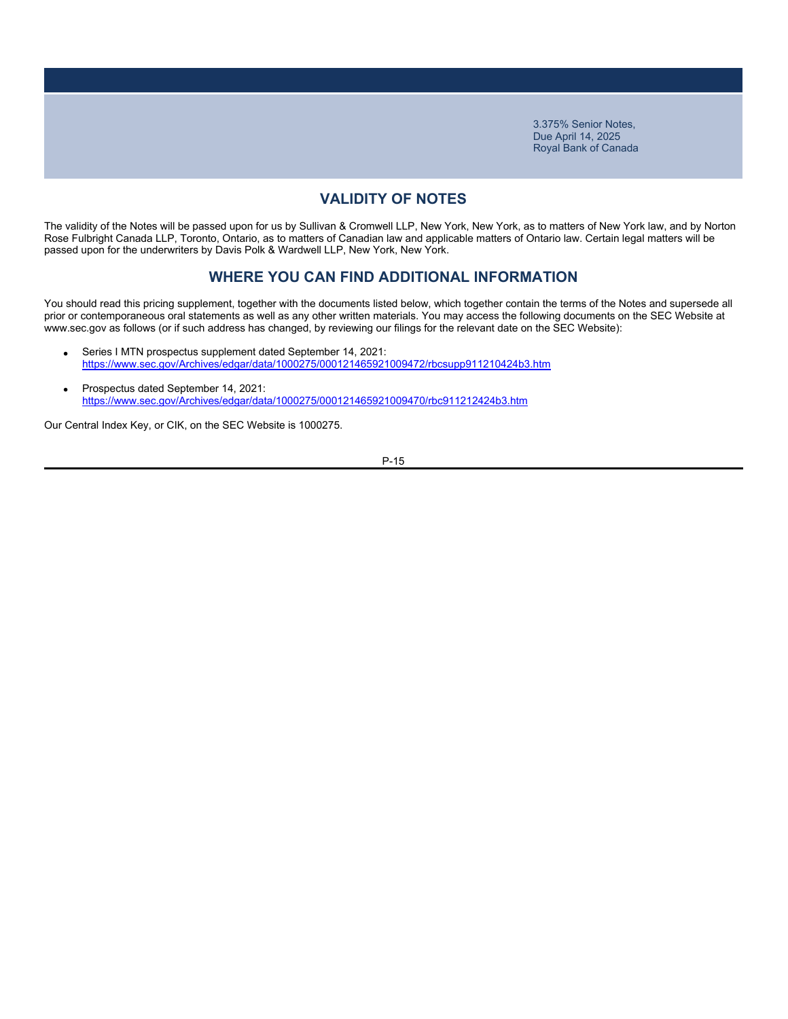# **VALIDITY OF NOTES**

The validity of the Notes will be passed upon for us by Sullivan & Cromwell LLP, New York, New York, as to matters of New York law, and by Norton Rose Fulbright Canada LLP, Toronto, Ontario, as to matters of Canadian law and applicable matters of Ontario law. Certain legal matters will be passed upon for the underwriters by Davis Polk & Wardwell LLP, New York, New York.

### **WHERE YOU CAN FIND ADDITIONAL INFORMATION**

You should read this pricing supplement, together with the documents listed below, which together contain the terms of the Notes and supersede all prior or contemporaneous oral statements as well as any other written materials. You may access the following documents on the SEC Website at www.sec.gov as follows (or if such address has changed, by reviewing our filings for the relevant date on the SEC Website):

- Series I MTN prospectus supplement dated September 14, 2021: https://www.sec.gov/Archives/edgar/data/1000275/000121465921009472/rbcsupp911210424b3.htm
- Prospectus dated September 14, 2021: https://www.sec.gov/Archives/edgar/data/1000275/000121465921009470/rbc911212424b3.htm

Our Central Index Key, or CIK, on the SEC Website is 1000275.